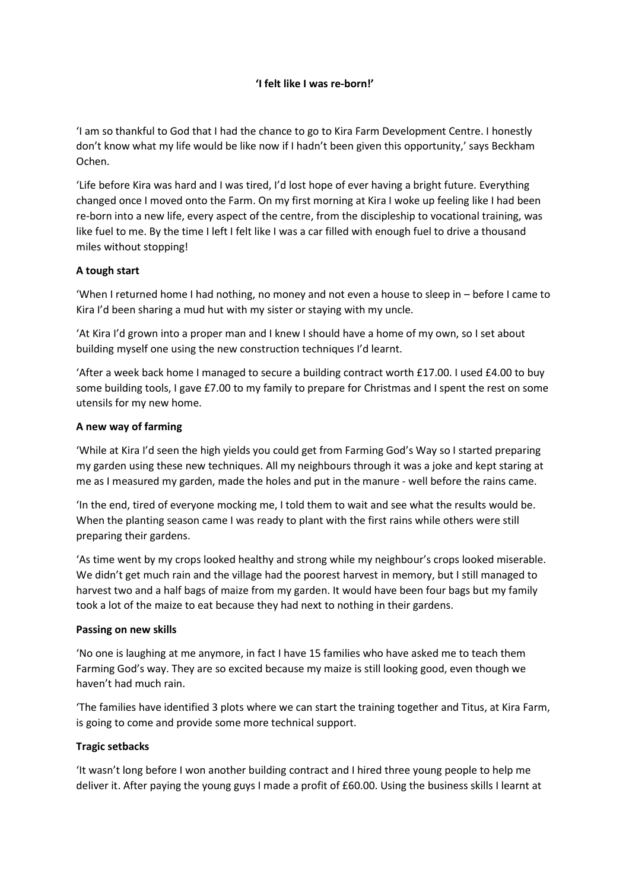# 'I felt like I was re-born!'

'I am so thankful to God that I had the chance to go to Kira Farm Development Centre. I honestly don't know what my life would be like now if I hadn't been given this opportunity,' says Beckham Ochen.

'Life before Kira was hard and I was tired, I'd lost hope of ever having a bright future. Everything changed once I moved onto the Farm. On my first morning at Kira I woke up feeling like I had been re-born into a new life, every aspect of the centre, from the discipleship to vocational training, was like fuel to me. By the time I left I felt like I was a car filled with enough fuel to drive a thousand miles without stopping!

## A tough start

'When I returned home I had nothing, no money and not even a house to sleep in – before I came to Kira I'd been sharing a mud hut with my sister or staying with my uncle.

'At Kira I'd grown into a proper man and I knew I should have a home of my own, so I set about building myself one using the new construction techniques I'd learnt.

'After a week back home I managed to secure a building contract worth £17.00. I used £4.00 to buy some building tools, I gave £7.00 to my family to prepare for Christmas and I spent the rest on some utensils for my new home.

## A new way of farming

'While at Kira I'd seen the high yields you could get from Farming God's Way so I started preparing my garden using these new techniques. All my neighbours through it was a joke and kept staring at me as I measured my garden, made the holes and put in the manure - well before the rains came.

'In the end, tired of everyone mocking me, I told them to wait and see what the results would be. When the planting season came I was ready to plant with the first rains while others were still preparing their gardens.

'As time went by my crops looked healthy and strong while my neighbour's crops looked miserable. We didn't get much rain and the village had the poorest harvest in memory, but I still managed to harvest two and a half bags of maize from my garden. It would have been four bags but my family took a lot of the maize to eat because they had next to nothing in their gardens.

### Passing on new skills

'No one is laughing at me anymore, in fact I have 15 families who have asked me to teach them Farming God's way. They are so excited because my maize is still looking good, even though we haven't had much rain.

'The families have identified 3 plots where we can start the training together and Titus, at Kira Farm, is going to come and provide some more technical support.

### Tragic setbacks

'It wasn't long before I won another building contract and I hired three young people to help me deliver it. After paying the young guys I made a profit of £60.00. Using the business skills I learnt at